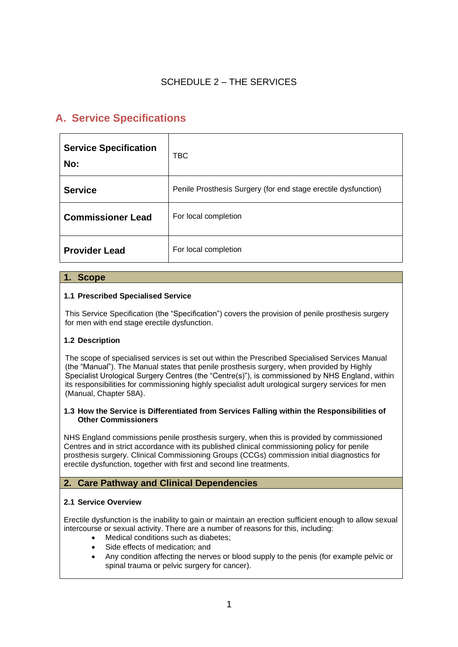# SCHEDULE 2 – THE SERVICES

# **A. Service Specifications**

| <b>Service Specification</b><br>No: | TBC                                                            |
|-------------------------------------|----------------------------------------------------------------|
| <b>Service</b>                      | Penile Prosthesis Surgery (for end stage erectile dysfunction) |
| <b>Commissioner Lead</b>            | For local completion                                           |
| <b>Provider Lead</b>                | For local completion                                           |

## **1. Scope**

## **1.1 Prescribed Specialised Service**

This Service Specification (the "Specification") covers the provision of penile prosthesis surgery for men with end stage erectile dysfunction.

## **1.2 Description**

The scope of specialised services is set out within the Prescribed Specialised Services Manual (the "Manual"). The Manual states that penile prosthesis surgery, when provided by Highly Specialist Urological Surgery Centres (the "Centre(s)"), is commissioned by NHS England, within its responsibilities for commissioning highly specialist adult urological surgery services for men (Manual, Chapter 58A).

#### **1.3 How the Service is Differentiated from Services Falling within the Responsibilities of Other Commissioners**

NHS England commissions penile prosthesis surgery, when this is provided by commissioned Centres and in strict accordance with its published clinical commissioning policy for penile prosthesis surgery. Clinical Commissioning Groups (CCGs) commission initial diagnostics for erectile dysfunction, together with first and second line treatments.

## **2. Care Pathway and Clinical Dependencies**

#### **2.1 Service Overview**

Erectile dysfunction is the inability to gain or maintain an erection sufficient enough to allow sexual intercourse or sexual activity. There are a number of reasons for this, including:

- Medical conditions such as diabetes;
- Side effects of medication; and
- Any condition affecting the nerves or blood supply to the penis (for example pelvic or spinal trauma or pelvic surgery for cancer).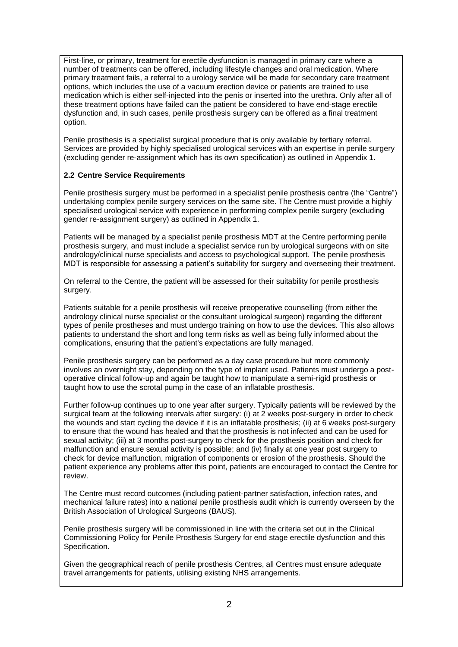First-line, or primary, treatment for erectile dysfunction is managed in primary care where a number of treatments can be offered, including lifestyle changes and oral medication. Where primary treatment fails, a referral to a urology service will be made for secondary care treatment options, which includes the use of a vacuum erection device or patients are trained to use medication which is either self-injected into the penis or inserted into the urethra. Only after all of these treatment options have failed can the patient be considered to have end-stage erectile dysfunction and, in such cases, penile prosthesis surgery can be offered as a final treatment option.

Penile prosthesis is a specialist surgical procedure that is only available by tertiary referral. Services are provided by highly specialised urological services with an expertise in penile surgery (excluding gender re-assignment which has its own specification) as outlined in Appendix 1.

#### **2.2 Centre Service Requirements**

Penile prosthesis surgery must be performed in a specialist penile prosthesis centre (the "Centre") undertaking complex penile surgery services on the same site. The Centre must provide a highly specialised urological service with experience in performing complex penile surgery (excluding gender re-assignment surgery) as outlined in Appendix 1.

Patients will be managed by a specialist penile prosthesis MDT at the Centre performing penile prosthesis surgery, and must include a specialist service run by urological surgeons with on site andrology/clinical nurse specialists and access to psychological support. The penile prosthesis MDT is responsible for assessing a patient's suitability for surgery and overseeing their treatment.

On referral to the Centre, the patient will be assessed for their suitability for penile prosthesis surgery.

Patients suitable for a penile prosthesis will receive preoperative counselling (from either the andrology clinical nurse specialist or the consultant urological surgeon) regarding the different types of penile prostheses and must undergo training on how to use the devices. This also allows patients to understand the short and long term risks as well as being fully informed about the complications, ensuring that the patient's expectations are fully managed.

Penile prosthesis surgery can be performed as a day case procedure but more commonly involves an overnight stay, depending on the type of implant used. Patients must undergo a postoperative clinical follow-up and again be taught how to manipulate a semi-rigid prosthesis or taught how to use the scrotal pump in the case of an inflatable prosthesis.

Further follow-up continues up to one year after surgery. Typically patients will be reviewed by the surgical team at the following intervals after surgery: (i) at 2 weeks post-surgery in order to check the wounds and start cycling the device if it is an inflatable prosthesis; (ii) at 6 weeks post-surgery to ensure that the wound has healed and that the prosthesis is not infected and can be used for sexual activity; (iii) at 3 months post-surgery to check for the prosthesis position and check for malfunction and ensure sexual activity is possible; and (iv) finally at one year post surgery to check for device malfunction, migration of components or erosion of the prosthesis. Should the patient experience any problems after this point, patients are encouraged to contact the Centre for review.

The Centre must record outcomes (including patient-partner satisfaction, infection rates, and mechanical failure rates) into a national penile prosthesis audit which is currently overseen by the British Association of Urological Surgeons (BAUS).

Penile prosthesis surgery will be commissioned in line with the criteria set out in the Clinical Commissioning Policy for Penile Prosthesis Surgery for end stage erectile dysfunction and this Specification.

Given the geographical reach of penile prosthesis Centres, all Centres must ensure adequate travel arrangements for patients, utilising existing NHS arrangements.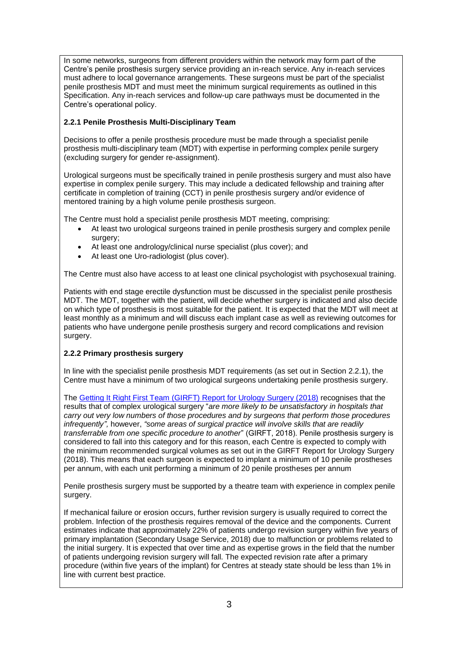In some networks, surgeons from different providers within the network may form part of the Centre's penile prosthesis surgery service providing an in-reach service. Any in-reach services must adhere to local governance arrangements. These surgeons must be part of the specialist penile prosthesis MDT and must meet the minimum surgical requirements as outlined in this Specification. Any in-reach services and follow-up care pathways must be documented in the Centre's operational policy.

## **2.2.1 Penile Prosthesis Multi-Disciplinary Team**

Decisions to offer a penile prosthesis procedure must be made through a specialist penile prosthesis multi-disciplinary team (MDT) with expertise in performing complex penile surgery (excluding surgery for gender re-assignment).

Urological surgeons must be specifically trained in penile prosthesis surgery and must also have expertise in complex penile surgery. This may include a dedicated fellowship and training after certificate in completion of training (CCT) in penile prosthesis surgery and/or evidence of mentored training by a high volume penile prosthesis surgeon.

The Centre must hold a specialist penile prosthesis MDT meeting, comprising:

- At least two urological surgeons trained in penile prosthesis surgery and complex penile surgery;
- At least one andrology/clinical nurse specialist (plus cover); and
- At least one Uro-radiologist (plus cover).

The Centre must also have access to at least one clinical psychologist with psychosexual training.

Patients with end stage erectile dysfunction must be discussed in the specialist penile prosthesis MDT. The MDT, together with the patient, will decide whether surgery is indicated and also decide on which type of prosthesis is most suitable for the patient. It is expected that the MDT will meet at least monthly as a minimum and will discuss each implant case as well as reviewing outcomes for patients who have undergone penile prosthesis surgery and record complications and revision surgery.

## **2.2.2 Primary prosthesis surgery**

In line with the specialist penile prosthesis MDT requirements (as set out in Section 2.2.1), the Centre must have a minimum of two urological surgeons undertaking penile prosthesis surgery.

The Getting It Right First Team (GIRFT) [Report for Urology Surgery \(2018\)](https://gettingitrightfirsttime.co.uk/wp-content/uploads/2018/07/GIRFT-Urology.pdf) recognises that the results that of complex urological surgery "*are more likely to be unsatisfactory in hospitals that carry out very low numbers of those procedures and by surgeons that perform those procedures infrequently",* however, *"some areas of surgical practice will involve skills that are readily transferrable from one specific procedure to another*" (GIRFT, 2018). Penile prosthesis surgery is considered to fall into this category and for this reason, each Centre is expected to comply with the minimum recommended surgical volumes as set out in the GIRFT Report for Urology Surgery (2018). This means that each surgeon is expected to implant a minimum of 10 penile prostheses per annum, with each unit performing a minimum of 20 penile prostheses per annum

Penile prosthesis surgery must be supported by a theatre team with experience in complex penile surgery.

If mechanical failure or erosion occurs, further revision surgery is usually required to correct the problem. Infection of the prosthesis requires removal of the device and the components. Current estimates indicate that approximately 22% of patients undergo revision surgery within five years of primary implantation (Secondary Usage Service, 2018) due to malfunction or problems related to the initial surgery. It is expected that over time and as expertise grows in the field that the number of patients undergoing revision surgery will fall. The expected revision rate after a primary procedure (within five years of the implant) for Centres at steady state should be less than 1% in line with current best practice.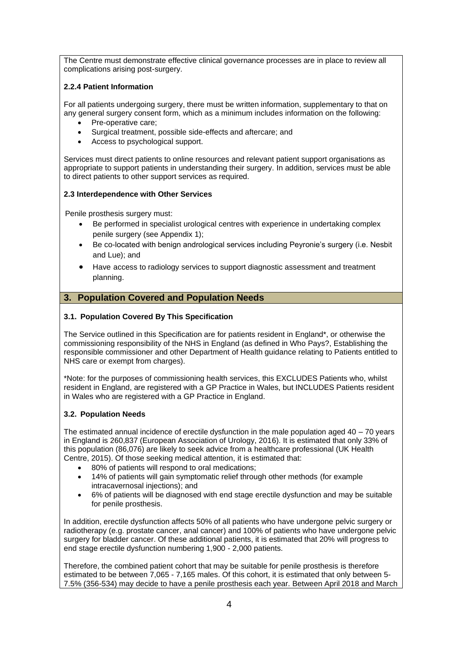The Centre must demonstrate effective clinical governance processes are in place to review all complications arising post-surgery.

### **2.2.4 Patient Information**

For all patients undergoing surgery, there must be written information, supplementary to that on any general surgery consent form, which as a minimum includes information on the following:

- Pre-operative care;
- Surgical treatment, possible side-effects and aftercare; and
- Access to psychological support.

Services must direct patients to online resources and relevant patient support organisations as appropriate to support patients in understanding their surgery. In addition, services must be able to direct patients to other support services as required.

#### **2.3 Interdependence with Other Services**

Penile prosthesis surgery must:

- Be performed in specialist urological centres with experience in undertaking complex penile surgery (see Appendix 1);
- Be co-located with benign andrological services including Peyronie's surgery (i.e. Nesbit and Lue); and
- Have access to radiology services to support diagnostic assessment and treatment planning.

## **3. Population Covered and Population Needs**

#### **3.1. Population Covered By This Specification**

The Service outlined in this Specification are for patients resident in England\*, or otherwise the commissioning responsibility of the NHS in England (as defined in Who Pays?, Establishing the responsible commissioner and other Department of Health guidance relating to Patients entitled to NHS care or exempt from charges).

\*Note: for the purposes of commissioning health services, this EXCLUDES Patients who, whilst resident in England, are registered with a GP Practice in Wales, but INCLUDES Patients resident in Wales who are registered with a GP Practice in England.

#### **3.2. Population Needs**

The estimated annual incidence of erectile dysfunction in the male population aged  $40 - 70$  years in England is 260,837 (European Association of Urology, 2016). It is estimated that only 33% of this population (86,076) are likely to seek advice from a healthcare professional (UK Health Centre, 2015). Of those seeking medical attention, it is estimated that:

- 80% of patients will respond to oral medications;
- 14% of patients will gain symptomatic relief through other methods (for example intracavernosal injections); and
- 6% of patients will be diagnosed with end stage erectile dysfunction and may be suitable for penile prosthesis.

In addition, erectile dysfunction affects 50% of all patients who have undergone pelvic surgery or radiotherapy (e.g. prostate cancer, anal cancer) and 100% of patients who have undergone pelvic surgery for bladder cancer. Of these additional patients, it is estimated that 20% will progress to end stage erectile dysfunction numbering 1,900 - 2,000 patients.

Therefore, the combined patient cohort that may be suitable for penile prosthesis is therefore estimated to be between 7,065 - 7,165 males. Of this cohort, it is estimated that only between 5- 7.5% (356-534) may decide to have a penile prosthesis each year. Between April 2018 and March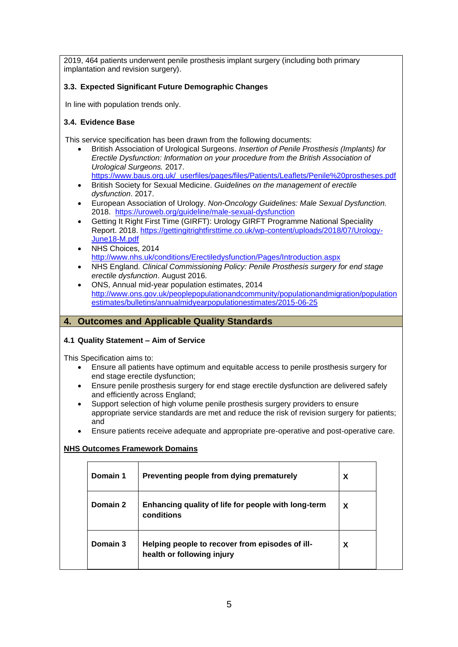2019, 464 patients underwent penile prosthesis implant surgery (including both primary implantation and revision surgery).

## **3.3. Expected Significant Future Demographic Changes**

In line with population trends only.

## **3.4. Evidence Base**

This service specification has been drawn from the following documents:

- British Association of Urological Surgeons. *Insertion of Penile Prosthesis (Implants) for Erectile Dysfunction: Information on your procedure from the British Association of Urological Surgeons.* 2017.
	- [https://www.baus.org.uk/\\_userfiles/pages/files/Patients/Leaflets/Penile%20prostheses.pdf](https://www.baus.org.uk/_userfiles/pages/files/Patients/Leaflets/Penile%20prostheses.pdf)
- British Society for Sexual Medicine. *Guidelines on the management of erectile dysfunction*. 2017.
- European Association of Urology. *Non-Oncology Guidelines: Male Sexual Dysfunction.*  2018. <https://uroweb.org/guideline/male-sexual-dysfunction>
- Getting It Right First Time (GIRFT): Urology GIRFT Programme National Speciality Report. 2018. [https://gettingitrightfirsttime.co.uk/wp-content/uploads/2018/07/Urology-](https://gettingitrightfirsttime.co.uk/wp-content/uploads/2018/07/Urology-June18-M.pdf)[June18-M.pdf](https://gettingitrightfirsttime.co.uk/wp-content/uploads/2018/07/Urology-June18-M.pdf)
- NHS Choices, 2014 <http://www.nhs.uk/conditions/Erectiledysfunction/Pages/Introduction.aspx>
- NHS England. *Clinical Commissioning Policy: Penile Prosthesis surgery for end stage erectile dysfunction*. August 2016.
- ONS, Annual mid-year population estimates, 2014 [http://www.ons.gov.uk/peoplepopulationandcommunity/populationandmigration/population](http://www.ons.gov.uk/peoplepopulationandcommunity/populationandmigration/populationestimates/bulletins/annualmidyearpopulationestimates/2015-06-25) [estimates/bulletins/annualmidyearpopulationestimates/2015-06-25](http://www.ons.gov.uk/peoplepopulationandcommunity/populationandmigration/populationestimates/bulletins/annualmidyearpopulationestimates/2015-06-25)

## **4. Outcomes and Applicable Quality Standards**

## **4.1 Quality Statement – Aim of Service**

This Specification aims to:

- Ensure all patients have optimum and equitable access to penile prosthesis surgery for end stage erectile dysfunction;
- Ensure penile prosthesis surgery for end stage erectile dysfunction are delivered safely and efficiently across England;
- Support selection of high volume penile prosthesis surgery providers to ensure appropriate service standards are met and reduce the risk of revision surgery for patients; and
- Ensure patients receive adequate and appropriate pre-operative and post-operative care.

## **NHS Outcomes Framework Domains**

| Domain 1 | Preventing people from dying prematurely                                      | X                         |
|----------|-------------------------------------------------------------------------------|---------------------------|
| Domain 2 | Enhancing quality of life for people with long-term<br>conditions             | $\boldsymbol{\mathsf{x}}$ |
| Domain 3 | Helping people to recover from episodes of ill-<br>health or following injury | X                         |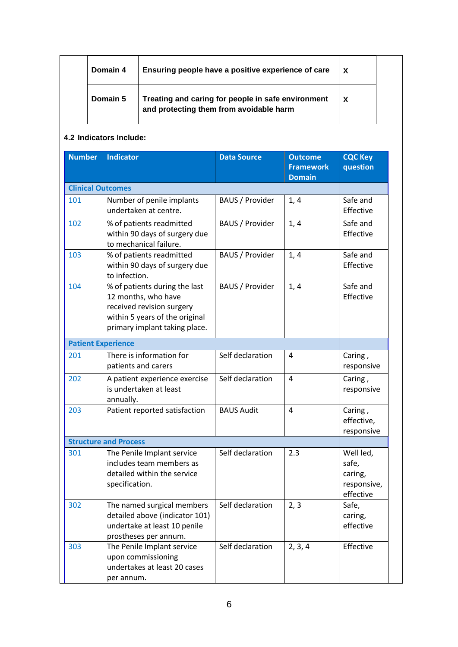| Domain 4 | Ensuring people have a positive experience of care                                            | $\boldsymbol{\mathsf{x}}$ |  |
|----------|-----------------------------------------------------------------------------------------------|---------------------------|--|
| Domain 5 | Treating and caring for people in safe environment<br>and protecting them from avoidable harm | X                         |  |

## **4.2 Indicators Include:**

| <b>Number</b>            | <b>Indicator</b>                                                                                                                                     | <b>Data Source</b>     | <b>Outcome</b><br><b>Framework</b><br><b>Domain</b> | <b>CQC Key</b><br>question                                |
|--------------------------|------------------------------------------------------------------------------------------------------------------------------------------------------|------------------------|-----------------------------------------------------|-----------------------------------------------------------|
| <b>Clinical Outcomes</b> |                                                                                                                                                      |                        |                                                     |                                                           |
| 101                      | Number of penile implants<br>undertaken at centre.                                                                                                   | <b>BAUS / Provider</b> | 1, 4                                                | Safe and<br>Effective                                     |
| 102                      | % of patients readmitted<br>within 90 days of surgery due<br>to mechanical failure.                                                                  | <b>BAUS / Provider</b> | 1, 4                                                | Safe and<br>Effective                                     |
| 103                      | % of patients readmitted<br>within 90 days of surgery due<br>to infection.                                                                           | <b>BAUS / Provider</b> | 1,4                                                 | Safe and<br>Effective                                     |
| 104                      | % of patients during the last<br>12 months, who have<br>received revision surgery<br>within 5 years of the original<br>primary implant taking place. | <b>BAUS / Provider</b> | 1, 4                                                | Safe and<br>Effective                                     |
|                          | <b>Patient Experience</b>                                                                                                                            |                        |                                                     |                                                           |
| 201                      | There is information for<br>patients and carers                                                                                                      | Self declaration       | 4                                                   | Caring,<br>responsive                                     |
| 202                      | A patient experience exercise<br>is undertaken at least<br>annually.                                                                                 | Self declaration       | $\overline{4}$                                      | Caring,<br>responsive                                     |
| 203                      | Patient reported satisfaction                                                                                                                        | <b>BAUS Audit</b>      | $\overline{4}$                                      | Caring,<br>effective,<br>responsive                       |
|                          | <b>Structure and Process</b>                                                                                                                         |                        |                                                     |                                                           |
| 301                      | The Penile Implant service<br>includes team members as<br>detailed within the service<br>specification.                                              | Self declaration       | 2.3                                                 | Well led,<br>safe,<br>caring,<br>responsive,<br>effective |
| 302                      | The named surgical members<br>detailed above (indicator 101)<br>undertake at least 10 penile<br>prostheses per annum.                                | Self declaration       | 2, 3                                                | Safe,<br>caring,<br>effective                             |
| 303                      | The Penile Implant service<br>upon commissioning<br>undertakes at least 20 cases<br>per annum.                                                       | Self declaration       | 2, 3, 4                                             | Effective                                                 |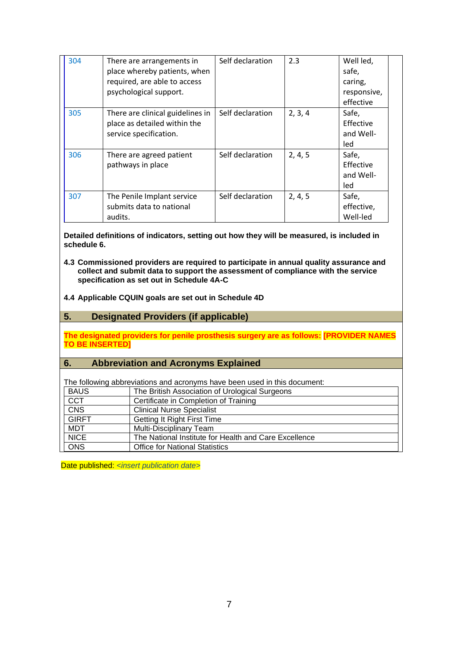| 304 | There are arrangements in<br>place whereby patients, when<br>required, are able to access<br>psychological support. | Self declaration | 2.3     | Well led,<br>safe,<br>caring,<br>responsive,<br>effective |
|-----|---------------------------------------------------------------------------------------------------------------------|------------------|---------|-----------------------------------------------------------|
| 305 | There are clinical guidelines in<br>place as detailed within the<br>service specification.                          | Self declaration | 2, 3, 4 | Safe,<br>Effective<br>and Well-<br>led                    |
| 306 | There are agreed patient<br>pathways in place                                                                       | Self declaration | 2, 4, 5 | Safe,<br>Effective<br>and Well-<br>led                    |
| 307 | The Penile Implant service<br>submits data to national<br>audits.                                                   | Self declaration | 2, 4, 5 | Safe,<br>effective,<br>Well-led                           |

**Detailed definitions of indicators, setting out how they will be measured, is included in schedule 6.** 

- **4.3 Commissioned providers are required to participate in annual quality assurance and collect and submit data to support the assessment of compliance with the service specification as set out in Schedule 4A-C**
- **4.4 Applicable CQUIN goals are set out in Schedule 4D**

### **5. Designated Providers (if applicable)**

**The designated providers for penile prosthesis surgery are as follows: [PROVIDER NAMES TO BE INSERTED]**

**6. Abbreviation and Acronyms Explained**

The following abbreviations and acronyms have been used in this document:

| <b>BAUS</b>  | The British Association of Urological Surgeons        |  |
|--------------|-------------------------------------------------------|--|
| <b>CCT</b>   | Certificate in Completion of Training                 |  |
| <b>CNS</b>   | <b>Clinical Nurse Specialist</b>                      |  |
| <b>GIRFT</b> | <b>Getting It Right First Time</b>                    |  |
| MDT          | <b>Multi-Disciplinary Team</b>                        |  |
| <b>NICE</b>  | The National Institute for Health and Care Excellence |  |
| <b>ONS</b>   | <b>Office for National Statistics</b>                 |  |

Date published: *<insert publication date>*